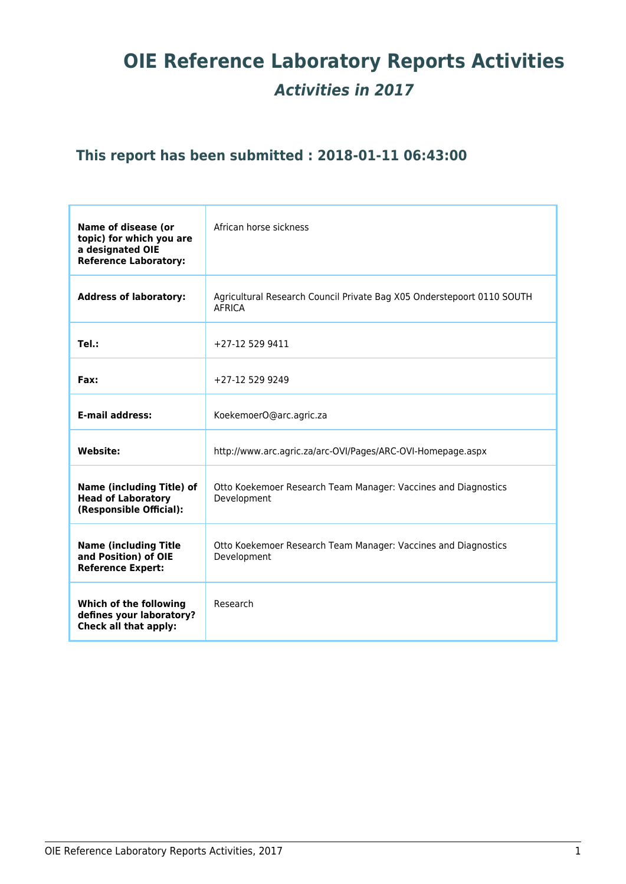# **OIE Reference Laboratory Reports Activities** *Activities in 2017*

## **This report has been submitted : 2018-01-11 06:43:00**

| Name of disease (or<br>topic) for which you are<br>a designated OIE<br><b>Reference Laboratory:</b> | African horse sickness                                                                  |
|-----------------------------------------------------------------------------------------------------|-----------------------------------------------------------------------------------------|
| <b>Address of laboratory:</b>                                                                       | Agricultural Research Council Private Bag X05 Onderstepoort 0110 SOUTH<br><b>AFRICA</b> |
| Tel.:                                                                                               | +27-12 529 9411                                                                         |
| Fax:                                                                                                | +27-12 529 9249                                                                         |
| <b>E-mail address:</b>                                                                              | KoekemoerO@arc.agric.za                                                                 |
| <b>Website:</b>                                                                                     | http://www.arc.agric.za/arc-OVI/Pages/ARC-OVI-Homepage.aspx                             |
| <b>Name (including Title) of</b><br><b>Head of Laboratory</b><br>(Responsible Official):            | Otto Koekemoer Research Team Manager: Vaccines and Diagnostics<br>Development           |
| <b>Name (including Title)</b><br>and Position) of OIE<br><b>Reference Expert:</b>                   | Otto Koekemoer Research Team Manager: Vaccines and Diagnostics<br>Development           |
| Which of the following<br>defines your laboratory?<br>Check all that apply:                         | Research                                                                                |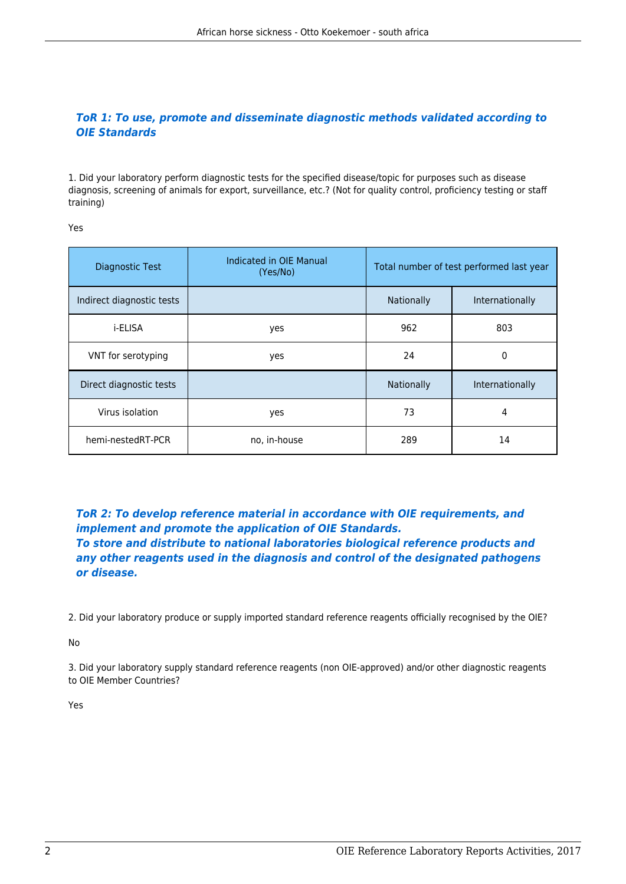## *ToR 1: To use, promote and disseminate diagnostic methods validated according to OIE Standards*

1. Did your laboratory perform diagnostic tests for the specified disease/topic for purposes such as disease diagnosis, screening of animals for export, surveillance, etc.? (Not for quality control, proficiency testing or staff training)

Yes

| Diagnostic Test           | Indicated in OIE Manual<br>(Yes/No) | Total number of test performed last year |                 |
|---------------------------|-------------------------------------|------------------------------------------|-----------------|
| Indirect diagnostic tests |                                     | Nationally                               | Internationally |
| i-ELISA                   | yes                                 | 962                                      | 803             |
| VNT for serotyping        | yes                                 | 24                                       | 0               |
| Direct diagnostic tests   |                                     | Nationally                               | Internationally |
| Virus isolation           | yes                                 | 73                                       | 4               |
| hemi-nestedRT-PCR         | no, in-house                        | 289                                      | 14              |

*ToR 2: To develop reference material in accordance with OIE requirements, and implement and promote the application of OIE Standards. To store and distribute to national laboratories biological reference products and any other reagents used in the diagnosis and control of the designated pathogens or disease.*

2. Did your laboratory produce or supply imported standard reference reagents officially recognised by the OIE?

No

3. Did your laboratory supply standard reference reagents (non OIE-approved) and/or other diagnostic reagents to OIE Member Countries?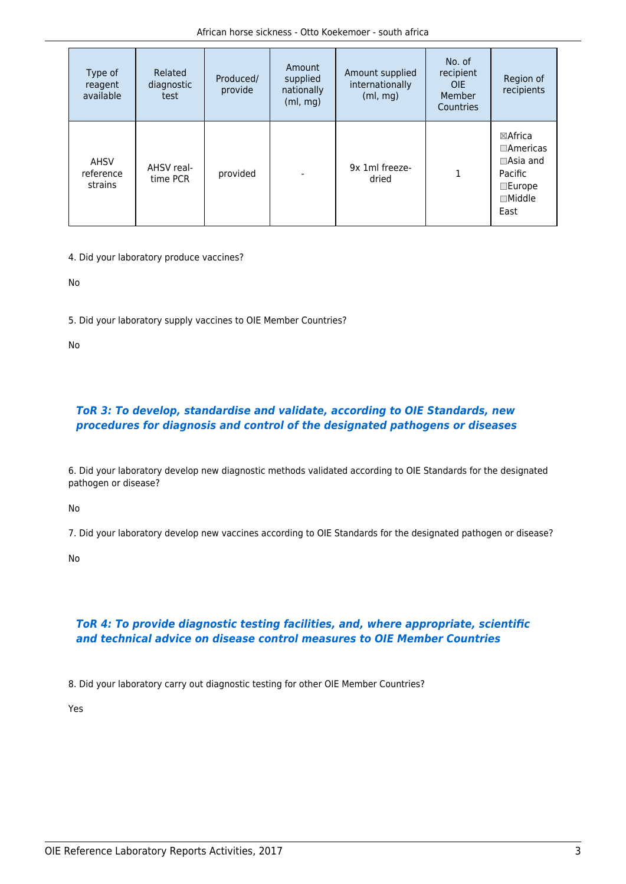| Type of<br>reagent<br>available     | Related<br>diagnostic<br>test | Produced/<br>provide | Amount<br>supplied<br>nationally<br>(ml, mg) | Amount supplied<br>internationally<br>(ml, mg) | No. of<br>recipient<br>OIE.<br>Member<br>Countries | Region of<br>recipients                                                                                          |
|-------------------------------------|-------------------------------|----------------------|----------------------------------------------|------------------------------------------------|----------------------------------------------------|------------------------------------------------------------------------------------------------------------------|
| <b>AHSV</b><br>reference<br>strains | AHSV real-<br>time PCR        | provided             |                                              | 9x 1ml freeze-<br>dried                        | 1                                                  | $\boxtimes$ Africa<br>$\Box$ Americas<br>$\Box$ Asia and<br>Pacific<br>$\square$ Europe<br>$\Box$ Middle<br>East |

4. Did your laboratory produce vaccines?

No

5. Did your laboratory supply vaccines to OIE Member Countries?

No

## *ToR 3: To develop, standardise and validate, according to OIE Standards, new procedures for diagnosis and control of the designated pathogens or diseases*

6. Did your laboratory develop new diagnostic methods validated according to OIE Standards for the designated pathogen or disease?

No

7. Did your laboratory develop new vaccines according to OIE Standards for the designated pathogen or disease?

No

## *ToR 4: To provide diagnostic testing facilities, and, where appropriate, scientific and technical advice on disease control measures to OIE Member Countries*

8. Did your laboratory carry out diagnostic testing for other OIE Member Countries?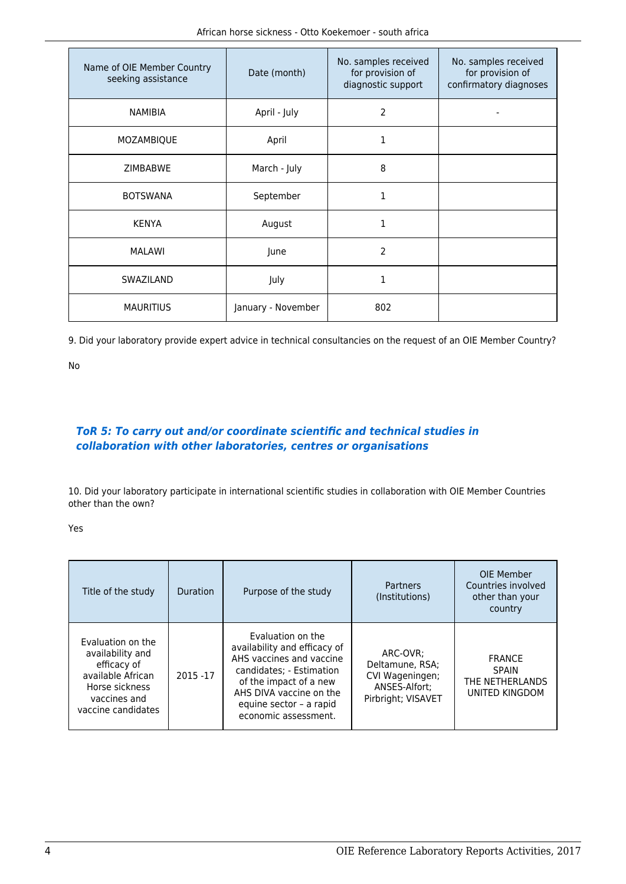| Name of OIE Member Country<br>seeking assistance | Date (month)       | No. samples received<br>for provision of<br>diagnostic support | No. samples received<br>for provision of<br>confirmatory diagnoses |
|--------------------------------------------------|--------------------|----------------------------------------------------------------|--------------------------------------------------------------------|
| <b>NAMIBIA</b>                                   | April - July       | 2                                                              |                                                                    |
| MOZAMBIQUE                                       | April              | 1                                                              |                                                                    |
| <b>ZIMBABWE</b>                                  | March - July       | 8                                                              |                                                                    |
| <b>BOTSWANA</b>                                  | September          | 1                                                              |                                                                    |
| <b>KENYA</b>                                     | August             | 1                                                              |                                                                    |
| <b>MALAWI</b>                                    | June               | 2                                                              |                                                                    |
| SWAZILAND                                        | July               | 1                                                              |                                                                    |
| <b>MAURITIUS</b>                                 | January - November | 802                                                            |                                                                    |

9. Did your laboratory provide expert advice in technical consultancies on the request of an OIE Member Country?

No

## *ToR 5: To carry out and/or coordinate scientific and technical studies in collaboration with other laboratories, centres or organisations*

10. Did your laboratory participate in international scientific studies in collaboration with OIE Member Countries other than the own?

| Title of the study                                                                                                                | <b>Duration</b> | Purpose of the study                                                                                                                                                                                              | Partners<br>(Institutions)                                                            | OIE Member<br>Countries involved<br>other than your<br>country     |
|-----------------------------------------------------------------------------------------------------------------------------------|-----------------|-------------------------------------------------------------------------------------------------------------------------------------------------------------------------------------------------------------------|---------------------------------------------------------------------------------------|--------------------------------------------------------------------|
| Evaluation on the<br>availability and<br>efficacy of<br>available African<br>Horse sickness<br>vaccines and<br>vaccine candidates | 2015 - 17       | Evaluation on the<br>availability and efficacy of<br>AHS vaccines and vaccine<br>candidates; - Estimation<br>of the impact of a new<br>AHS DIVA vaccine on the<br>equine sector - a rapid<br>economic assessment. | ARC-OVR:<br>Deltamune, RSA:<br>CVI Wageningen;<br>ANSES-Alfort:<br>Pirbright; VISAVET | <b>FRANCE</b><br><b>SPAIN</b><br>THE NETHERLANDS<br>UNITED KINGDOM |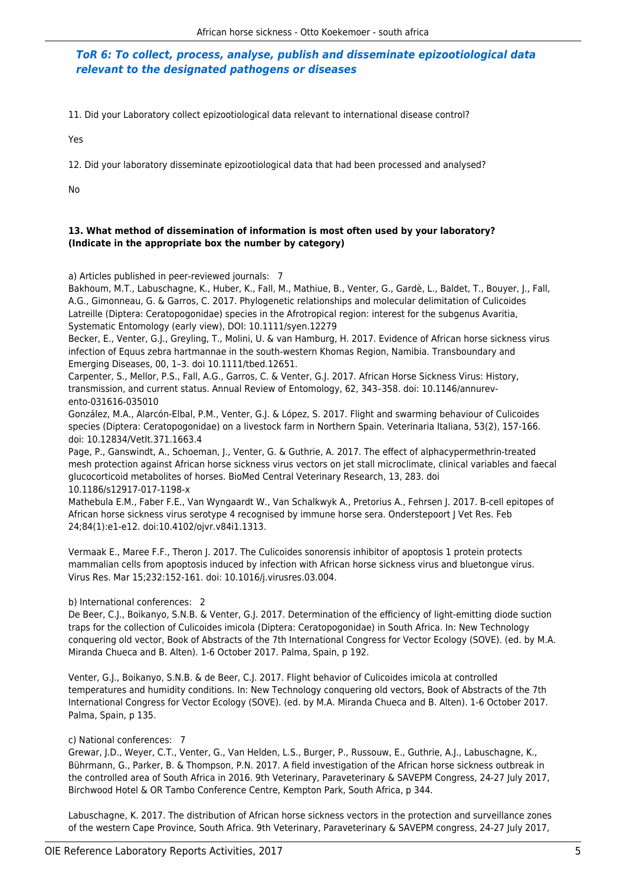#### *ToR 6: To collect, process, analyse, publish and disseminate epizootiological data relevant to the designated pathogens or diseases*

11. Did your Laboratory collect epizootiological data relevant to international disease control?

Yes

12. Did your laboratory disseminate epizootiological data that had been processed and analysed?

No

#### **13. What method of dissemination of information is most often used by your laboratory? (Indicate in the appropriate box the number by category)**

a) Articles published in peer-reviewed journals: 7

Bakhoum, M.T., Labuschagne, K., Huber, K., Fall, M., Mathiue, B., Venter, G., Gardè, L., Baldet, T., Bouyer, J., Fall, A.G., Gimonneau, G. & Garros, C. 2017. Phylogenetic relationships and molecular delimitation of Culicoides Latreille (Diptera: Ceratopogonidae) species in the Afrotropical region: interest for the subgenus Avaritia, Systematic Entomology (early view), DOI: 10.1111/syen.12279

Becker, E., Venter, G.J., Greyling, T., Molini, U. & van Hamburg, H. 2017. Evidence of African horse sickness virus infection of Equus zebra hartmannae in the south-western Khomas Region, Namibia. Transboundary and Emerging Diseases, 00, 1–3. doi 10.1111/tbed.12651.

Carpenter, S., Mellor, P.S., Fall, A.G., Garros, C. & Venter, G.J. 2017. African Horse Sickness Virus: History, transmission, and current status. Annual Review of Entomology, 62, 343–358. doi: 10.1146/annurevento-031616-035010

González, M.A., Alarcón-Elbal, P.M., Venter, G.J. & López, S. 2017. Flight and swarming behaviour of Culicoides species (Diptera: Ceratopogonidae) on a livestock farm in Northern Spain. Veterinaria Italiana, 53(2), 157-166. doi: 10.12834/VetIt.371.1663.4

Page, P., Ganswindt, A., Schoeman, J., Venter, G. & Guthrie, A. 2017. The effect of alphacypermethrin-treated mesh protection against African horse sickness virus vectors on jet stall microclimate, clinical variables and faecal glucocorticoid metabolites of horses. BioMed Central Veterinary Research, 13, 283. doi 10.1186/s12917-017-1198-x

Mathebula E.M., Faber F.E., Van Wyngaardt W., Van Schalkwyk A., Pretorius A., Fehrsen J. 2017. B-cell epitopes of African horse sickness virus serotype 4 recognised by immune horse sera. Onderstepoort J Vet Res. Feb 24;84(1):e1-e12. doi:10.4102/ojvr.v84i1.1313.

Vermaak E., Maree F.F., Theron J. 2017. The Culicoides sonorensis inhibitor of apoptosis 1 protein protects mammalian cells from apoptosis induced by infection with African horse sickness virus and bluetongue virus. Virus Res. Mar 15;232:152-161. doi: 10.1016/j.virusres.03.004.

b) International conferences: 2

De Beer, C.J., Boikanyo, S.N.B. & Venter, G.J. 2017. Determination of the efficiency of light-emitting diode suction traps for the collection of Culicoides imicola (Diptera: Ceratopogonidae) in South Africa. In: New Technology conquering old vector, Book of Abstracts of the 7th International Congress for Vector Ecology (SOVE). (ed. by M.A. Miranda Chueca and B. Alten). 1-6 October 2017. Palma, Spain, p 192.

Venter, G.J., Boikanyo, S.N.B. & de Beer, C.J. 2017. Flight behavior of Culicoides imicola at controlled temperatures and humidity conditions. In: New Technology conquering old vectors, Book of Abstracts of the 7th International Congress for Vector Ecology (SOVE). (ed. by M.A. Miranda Chueca and B. Alten). 1-6 October 2017. Palma, Spain, p 135.

#### c) National conferences: 7

Grewar, J.D., Weyer, C.T., Venter, G., Van Helden, L.S., Burger, P., Russouw, E., Guthrie, A.J., Labuschagne, K., Bührmann, G., Parker, B. & Thompson, P.N. 2017. A field investigation of the African horse sickness outbreak in the controlled area of South Africa in 2016. 9th Veterinary, Paraveterinary & SAVEPM Congress, 24-27 July 2017, Birchwood Hotel & OR Tambo Conference Centre, Kempton Park, South Africa, p 344.

Labuschagne, K. 2017. The distribution of African horse sickness vectors in the protection and surveillance zones of the western Cape Province, South Africa. 9th Veterinary, Paraveterinary & SAVEPM congress, 24-27 July 2017,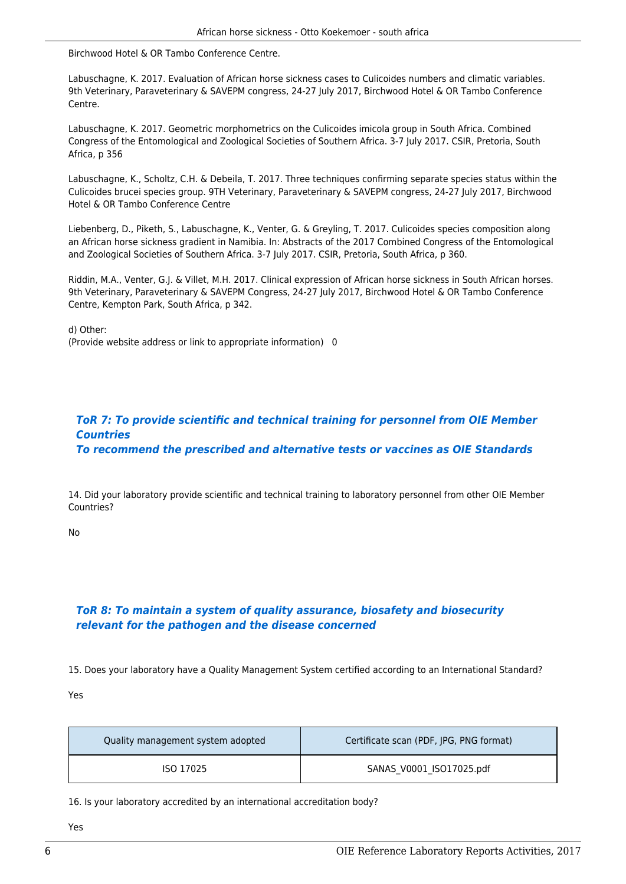Birchwood Hotel & OR Tambo Conference Centre.

Labuschagne, K. 2017. Evaluation of African horse sickness cases to Culicoides numbers and climatic variables. 9th Veterinary, Paraveterinary & SAVEPM congress, 24-27 July 2017, Birchwood Hotel & OR Tambo Conference Centre.

Labuschagne, K. 2017. Geometric morphometrics on the Culicoides imicola group in South Africa. Combined Congress of the Entomological and Zoological Societies of Southern Africa. 3-7 July 2017. CSIR, Pretoria, South Africa, p 356

Labuschagne, K., Scholtz, C.H. & Debeila, T. 2017. Three techniques confirming separate species status within the Culicoides brucei species group. 9TH Veterinary, Paraveterinary & SAVEPM congress, 24-27 July 2017, Birchwood Hotel & OR Tambo Conference Centre

Liebenberg, D., Piketh, S., Labuschagne, K., Venter, G. & Greyling, T. 2017. Culicoides species composition along an African horse sickness gradient in Namibia. In: Abstracts of the 2017 Combined Congress of the Entomological and Zoological Societies of Southern Africa. 3-7 July 2017. CSIR, Pretoria, South Africa, p 360.

Riddin, M.A., Venter, G.J. & Villet, M.H. 2017. Clinical expression of African horse sickness in South African horses. 9th Veterinary, Paraveterinary & SAVEPM Congress, 24-27 July 2017, Birchwood Hotel & OR Tambo Conference Centre, Kempton Park, South Africa, p 342.

d) Other: (Provide website address or link to appropriate information) 0

#### *ToR 7: To provide scientific and technical training for personnel from OIE Member Countries To recommend the prescribed and alternative tests or vaccines as OIE Standards*

14. Did your laboratory provide scientific and technical training to laboratory personnel from other OIE Member Countries?

No

## *ToR 8: To maintain a system of quality assurance, biosafety and biosecurity relevant for the pathogen and the disease concerned*

15. Does your laboratory have a Quality Management System certified according to an International Standard?

Yes

| Quality management system adopted | Certificate scan (PDF, JPG, PNG format) |
|-----------------------------------|-----------------------------------------|
| ISO 17025                         | SANAS V0001 ISO17025.pdf                |

16. Is your laboratory accredited by an international accreditation body?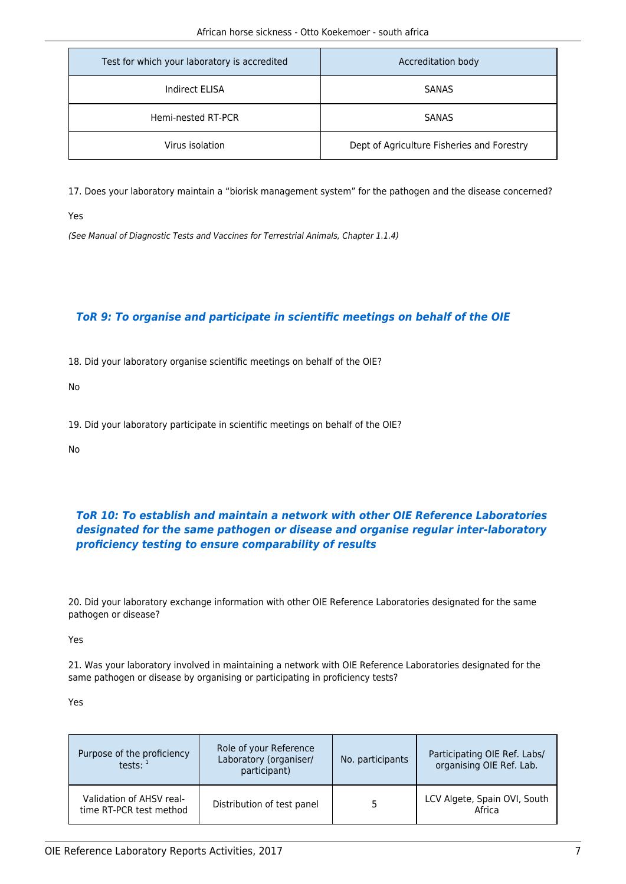| Test for which your laboratory is accredited | Accreditation body                         |
|----------------------------------------------|--------------------------------------------|
| Indirect ELISA                               | SANAS                                      |
| Hemi-nested RT-PCR                           | <b>SANAS</b>                               |
| Virus isolation                              | Dept of Agriculture Fisheries and Forestry |

17. Does your laboratory maintain a "biorisk management system" for the pathogen and the disease concerned?

Yes

(See Manual of Diagnostic Tests and Vaccines for Terrestrial Animals, Chapter 1.1.4)

## *ToR 9: To organise and participate in scientific meetings on behalf of the OIE*

18. Did your laboratory organise scientific meetings on behalf of the OIE?

No

19. Did your laboratory participate in scientific meetings on behalf of the OIE?

No

## *ToR 10: To establish and maintain a network with other OIE Reference Laboratories designated for the same pathogen or disease and organise regular inter-laboratory proficiency testing to ensure comparability of results*

20. Did your laboratory exchange information with other OIE Reference Laboratories designated for the same pathogen or disease?

Yes

21. Was your laboratory involved in maintaining a network with OIE Reference Laboratories designated for the same pathogen or disease by organising or participating in proficiency tests?

| Purpose of the proficiency<br>tests: $1$            | Role of your Reference<br>Laboratory (organiser/<br>participant) | No. participants | Participating OIE Ref. Labs/<br>organising OIE Ref. Lab. |
|-----------------------------------------------------|------------------------------------------------------------------|------------------|----------------------------------------------------------|
| Validation of AHSV real-<br>time RT-PCR test method | Distribution of test panel                                       |                  | LCV Algete, Spain OVI, South<br>Africa                   |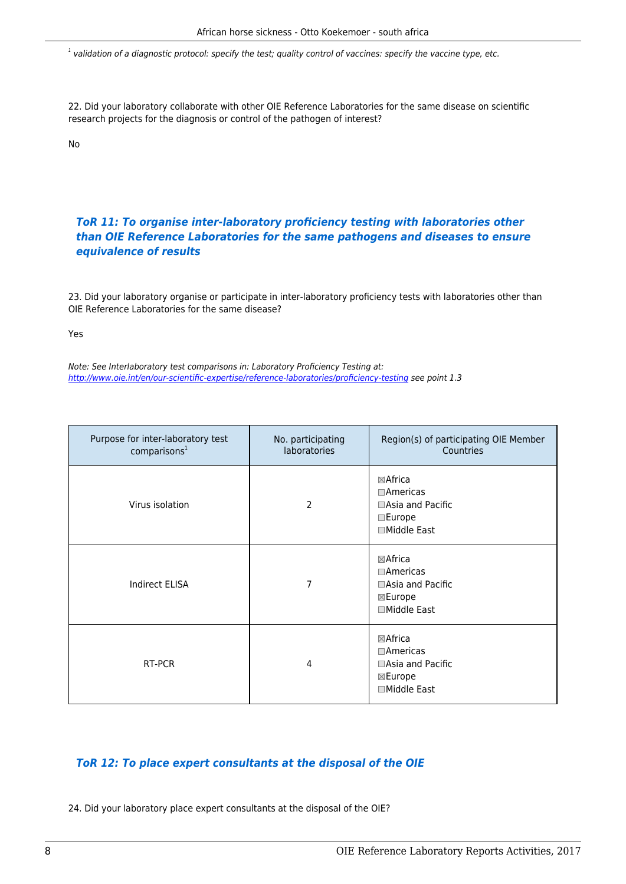$^{\rm 1}$  validation of a diagnostic protocol: specify the test; quality control of vaccines: specify the vaccine type, etc.

22. Did your laboratory collaborate with other OIE Reference Laboratories for the same disease on scientific research projects for the diagnosis or control of the pathogen of interest?

No

## *ToR 11: To organise inter-laboratory proficiency testing with laboratories other than OIE Reference Laboratories for the same pathogens and diseases to ensure equivalence of results*

23. Did your laboratory organise or participate in inter-laboratory proficiency tests with laboratories other than OIE Reference Laboratories for the same disease?

Yes

Note: See Interlaboratory test comparisons in: Laboratory Proficiency Testing at: <http://www.oie.int/en/our-scientific-expertise/reference-laboratories/proficiency-testing>see point 1.3

| Purpose for inter-laboratory test<br>comparisons <sup>1</sup> | No. participating<br>laboratories | Region(s) of participating OIE Member<br>Countries                                               |
|---------------------------------------------------------------|-----------------------------------|--------------------------------------------------------------------------------------------------|
| Virus isolation                                               | 2                                 | $\boxtimes$ Africa<br>$\Box$ Americas<br>□Asia and Pacific<br>$\square$ Europe<br>□Middle East   |
| <b>Indirect ELISA</b>                                         | 7                                 | $\boxtimes$ Africa<br>$\Box$ Americas<br>□Asia and Pacific<br>$\boxtimes$ Europe<br>□Middle East |
| RT-PCR                                                        | 4                                 | ⊠Africa<br>$\square$ Americas<br>□Asia and Pacific<br>⊠Europe<br>□Middle East                    |

#### *ToR 12: To place expert consultants at the disposal of the OIE*

24. Did your laboratory place expert consultants at the disposal of the OIE?